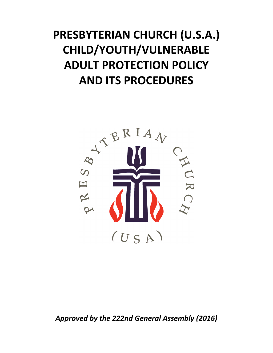# **PRESBYTERIAN CHURCH (U.S.A.) CHILD/YOUTH/VULNERABLE ADULT PROTECTION POLICY AND ITS PROCEDURES**



*Approved by the 222nd General Assembly (2016)*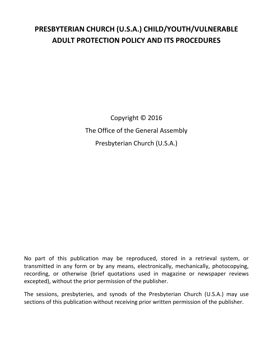## **PRESBYTERIAN CHURCH (U.S.A.) CHILD/YOUTH/VULNERABLE ADULT PROTECTION POLICY AND ITS PROCEDURES**

Copyright © 2016 The Office of the General Assembly Presbyterian Church (U.S.A.)

No part of this publication may be reproduced, stored in a retrieval system, or transmitted in any form or by any means, electronically, mechanically, photocopying, recording, or otherwise (brief quotations used in magazine or newspaper reviews excepted), without the prior permission of the publisher.

The sessions, presbyteries, and synods of the Presbyterian Church (U.S.A.) may use sections of this publication without receiving prior written permission of the publisher.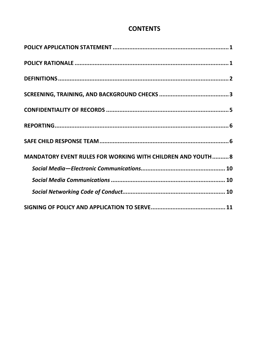## **CONTENTS**

| MANDATORY EVENT RULES FOR WORKING WITH CHILDREN AND YOUTH 8 |
|-------------------------------------------------------------|
|                                                             |
|                                                             |
|                                                             |
|                                                             |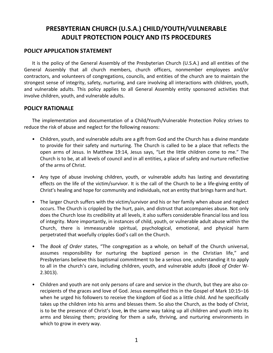## <span id="page-4-0"></span>**PRESBYTERIAN CHURCH (U.S.A.) CHILD/YOUTH/VULNERABLE ADULT PROTECTION POLICY AND ITS PROCEDURES**

#### **POLICY APPLICATION STATEMENT**

It is the policy of the General Assembly of the Presbyterian Church (U.S.A.) and all entities of the General Assembly that all church members, church officers, nonmember employees and/or contractors, and volunteers of congregations, councils, and entities of the church are to maintain the strongest sense of integrity, safety, nurturing, and care involving all interactions with children, youth, and vulnerable adults. This policy applies to all General Assembly entity sponsored activities that involve children, youth, and vulnerable adults.

#### **POLICY RATIONALE**

The implementation and documentation of a Child/Youth/Vulnerable Protection Policy strives to reduce the risk of abuse and neglect for the following reasons:

- Children, youth, and vulnerable adults are a gift from God and the Church has a divine mandate to provide for their safety and nurturing. The Church is called to be a place that reflects the open arms of Jesus. In Matthew 19:14, Jesus says, "Let the little children come to me." The Church is to be, at all levels of council and in all entities, a place of safety and nurture reflective of the arms of Christ.
- Any type of abuse involving children, youth, or vulnerable adults has lasting and devastating effects on the life of the victim/survivor. It is the call of the Church to be a life‐giving entity of Christ's healing and hope for community and individuals, not an entity that brings harm and hurt.
- The larger Church suffers with the victim/survivor and his or her family when abuse and neglect occurs. The Church is crippled by the hurt, pain, and distrust that accompanies abuse. Not only does the Church lose its credibility at all levels, it also suffers considerable financial loss and loss of integrity. More importantly, in instances of child, youth, or vulnerable adult abuse within the Church, there is immeasurable spiritual, psychological, emotional, and physical harm perpetrated that woefully cripples God's call on the Church.
- The *Book of Order* states, "The congregation as a whole, on behalf of the Church universal, assumes responsibility for nurturing the baptized person in the Christian life," and Presbyterians believe this baptismal commitment to be a serious one, understanding it to apply to all in the church's care, including children, youth, and vulnerable adults (*Book of Order* W‐ 2.3013).
- Children and youth are not only persons of care and service in the church, but they are also corecipients of the graces and love of God. Jesus exemplified this in the Gospel of Mark 10:15–16 when he urged his followers to receive the kingdom of God as a little child. And he specifically takes up the children into his arms and blesses them. So also the Church, as the body of Christ, is to be the presence of Christ's love, **in** the same way taking up all children and youth into its arms and blessing them; providing for them a safe, thriving, and nurturing environments in which to grow in every way.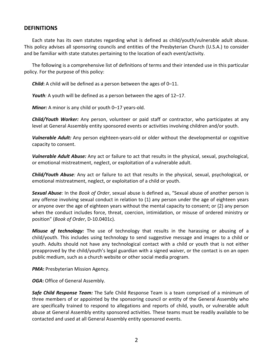#### <span id="page-5-0"></span>**DEFINITIONS**

Each state has its own statutes regarding what is defined as child/youth/vulnerable adult abuse. This policy advises all sponsoring councils and entities of the Presbyterian Church (U.S.A.) to consider and be familiar with state statutes pertaining to the location of each event/activity.

The following is a comprehensive list of definitions of terms and their intended use in this particular policy. For the purpose of this policy:

*Child***:** A child will be defined as a person between the ages of 0–11.

*Youth:* A youth will be defined as a person between the ages of 12–17.

*Minor:* A minor is any child or youth 0–17 years-old.

*Child/Youth Worker:* Any person, volunteer or paid staff or contractor, who participates at any level at General Assembly entity sponsored events or activities involving children and/or youth.

*Vulnerable Adult:* Any person eighteen‐years‐old or older without the developmental or cognitive capacity to consent.

*Vulnerable Adult Abuse:* Any act or failure to act that results in the physical, sexual, psychological, or emotional mistreatment, neglect, or exploitation of a vulnerable adult.

*Child/Youth Abuse:* Any act or failure to act that results in the physical, sexual, psychological, or emotional mistreatment, neglect, or exploitation of a child or youth.

*Sexual Abuse:* In the *Book of Order*, sexual abuse is defined as, "Sexual abuse of another person is any offense involving sexual conduct in relation to (1) any person under the age of eighteen years or anyone over the age of eighteen years without the mental capacity to consent; or (2) any person when the conduct includes force, threat, coercion, intimidation, or misuse of ordered ministry or position" (*Book of Order*, D‐10.0401c).

*Misuse of technology:* The use of technology that results in the harassing or abusing of a child/youth. This includes using technology to send suggestive message and images to a child or youth. Adults should not have any technological contact with a child or youth that is not either preapproved by the child/youth's legal guardian with a signed waiver, or the contact is on an open public medium, such as a church website or other social media program.

*PMA***:** Presbyterian Mission Agency.

*OGA***:** Office of General Assembly.

*Safe Child Response Team:* The Safe Child Response Team is a team comprised of a minimum of three members of or appointed by the sponsoring council or entity of the General Assembly who are specifically trained to respond to allegations and reports of child, youth, or vulnerable adult abuse at General Assembly entity sponsored activities. These teams must be readily available to be contacted and used at all General Assembly entity sponsored events.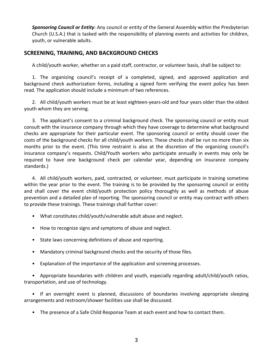<span id="page-6-0"></span>*Sponsoring Council or Entity*: Any council or entity of the General Assembly within the Presbyterian Church (U.S.A.) that is tasked with the responsibility of planning events and activities for children, youth, or vulnerable adults.

#### **SCREENING, TRAINING, AND BACKGROUND CHECKS**

A child/youth worker, whether on a paid staff, contractor, or volunteer basis, shall be subject to:

1. The organizing council's receipt of a completed, signed, and approved application and background check authorization forms, including a signed form verifying the event policy has been read. The application should include a minimum of two references.

2. All child/youth workers must be at least eighteen‐years‐old and four years older than the oldest youth whom they are serving.

3. The applicant's consent to a criminal background check. The sponsoring council or entity must consult with the insurance company through which they have coverage to determine what background checks are appropriate for their particular event. The sponsoring council or entity should cover the costs of the background checks for all child/youth workers. These checks shall be run no more than six months prior to the event. (This time restraint is also at the discretion of the organizing council's insurance company's requests. Child/Youth workers who participate annually in events may only be required to have one background check per calendar year, depending on insurance company standards.)

4. All child/youth workers, paid, contracted, or volunteer, must participate in training sometime within the year prior to the event. The training is to be provided by the sponsoring council or entity and shall cover the event child/youth protection policy thoroughly as well as methods of abuse prevention and a detailed plan of reporting. The sponsoring council or entity may contract with others to provide these trainings. These trainings shall further cover:

- What constitutes child/youth/vulnerable adult abuse and neglect.
- How to recognize signs and symptoms of abuse and neglect.
- State laws concerning definitions of abuse and reporting.
- Mandatory criminal background checks and the security of those files.
- Explanation of the importance of the application and screening processes.

• Appropriate boundaries with children and youth, especially regarding adult/child/youth ratios, transportation, and use of technology.

• If an overnight event is planned, discussions of boundaries involving appropriate sleeping arrangements and restroom/shower facilities use shall be discussed.

• The presence of a Safe Child Response Team at each event and how to contact them.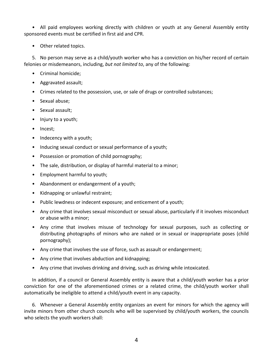• All paid employees working directly with children or youth at any General Assembly entity sponsored events must be certified in first aid and CPR.

• Other related topics.

5. No person may serve as a child/youth worker who has a conviction on his/her record of certain felonies or misdemeanors, including, *but not limited to*, any of the following:

- Criminal homicide;
- Aggravated assault;
- Crimes related to the possession, use, or sale of drugs or controlled substances;
- Sexual abuse;
- Sexual assault;
- Injury to a youth;
- Incest;
- Indecency with a youth;
- Inducing sexual conduct or sexual performance of a youth;
- Possession or promotion of child pornography;
- The sale, distribution, or display of harmful material to a minor;
- Employment harmful to youth;
- Abandonment or endangerment of a youth;
- Kidnapping or unlawful restraint;
- Public lewdness or indecent exposure; and enticement of a youth;
- Any crime that involves sexual misconduct or sexual abuse, particularly if it involves misconduct or abuse with a minor;
- Any crime that involves misuse of technology for sexual purposes, such as collecting or distributing photographs of minors who are naked or in sexual or inappropriate poses (child pornography);
- Any crime that involves the use of force, such as assault or endangerment;
- Any crime that involves abduction and kidnapping;
- Any crime that involves drinking and driving, such as driving while intoxicated.

In addition, if a council or General Assembly entity is aware that a child/youth worker has a prior conviction for one of the aforementioned crimes or a related crime, the child/youth worker shall automatically be ineligible to attend a child/youth event in any capacity.

6. Whenever a General Assembly entity organizes an event for minors for which the agency will invite minors from other church councils who will be supervised by child/youth workers, the councils who selects the youth workers shall: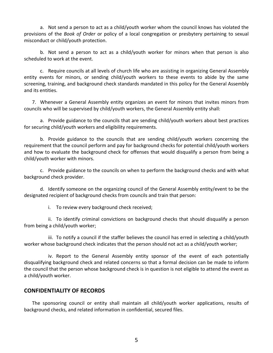<span id="page-8-0"></span>a. Not send a person to act as a child/youth worker whom the council knows has violated the provisions of the *Book of Order* or policy of a local congregation or presbytery pertaining to sexual misconduct or child/youth protection.

b. Not send a person to act as a child/youth worker for minors when that person is also scheduled to work at the event.

c. Require councils at all levels of church life who are assisting in organizing General Assembly entity events for minors, or sending child/youth workers to these events to abide by the same screening, training, and background check standards mandated in this policy for the General Assembly and its entities.

7. Whenever a General Assembly entity organizes an event for minors that invites minors from councils who will be supervised by child/youth workers, the General Assembly entity shall:

a. Provide guidance to the councils that are sending child/youth workers about best practices for securing child/youth workers and eligibility requirements.

b. Provide guidance to the councils that are sending child/youth workers concerning the requirement that the council perform and pay for background checks for potential child/youth workers and how to evaluate the background check for offenses that would disqualify a person from being a child/youth worker with minors.

c. Provide guidance to the councils on when to perform the background checks and with what background check provider.

d. Identify someone on the organizing council of the General Assembly entity/event to be the designated recipient of background checks from councils and train that person:

i. To review every background check received;

ii. To identify criminal convictions on background checks that should disqualify a person from being a child/youth worker;

iii. To notify a council if the staffer believes the council has erred in selecting a child/youth worker whose background check indicates that the person should not act as a child/youth worker;

iv. Report to the General Assembly entity sponsor of the event of each potentially disqualifying background check and related concerns so that a formal decision can be made to inform the council that the person whose background check is in question is not eligible to attend the event as a child/youth worker.

#### **CONFIDENTIALITY OF RECORDS**

The sponsoring council or entity shall maintain all child/youth worker applications, results of background checks, and related information in confidential, secured files.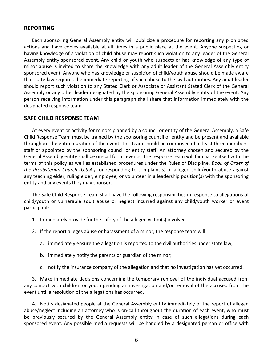#### <span id="page-9-0"></span>**REPORTING**

Each sponsoring General Assembly entity will publicize a procedure for reporting any prohibited actions and have copies available at all times in a public place at the event. Anyone suspecting or having knowledge of a violation of child abuse may report such violation to any leader of the General Assembly entity sponsored event. Any child or youth who suspects or has knowledge of any type of minor abuse is invited to share the knowledge with any adult leader of the General Assembly entity sponsored event. Anyone who has knowledge or suspicion of child/youth abuse should be made aware that state law requires the immediate reporting of such abuse to the civil authorities. Any adult leader should report such violation to any Stated Clerk or Associate or Assistant Stated Clerk of the General Assembly or any other leader designated by the sponsoring General Assembly entity of the event. Any person receiving information under this paragraph shall share that information immediately with the designated response team.

#### **SAFE CHILD RESPONSE TEAM**

At every event or activity for minors planned by a council or entity of the General Assembly, a Safe Child Response Team must be trained by the sponsoring council or entity and be present and available throughout the entire duration of the event. This team should be comprised of at least three members, staff or appointed by the sponsoring council or entity staff. An attorney chosen and secured by the General Assembly entity shall be on‐call for all events. The response team will familiarize itself with the terms of this policy as well as established procedures under the Rules of Discipline, *Book of Order of the Presbyterian Church (U.S.A.)* for responding to complaint(s) of alleged child/youth abuse against any teaching elder, ruling elder, employee, or volunteer in a leadership position(s) with the sponsoring entity and any events they may sponsor.

The Safe Child Response Team shall have the following responsibilities in response to allegations of child/youth or vulnerable adult abuse or neglect incurred against any child/youth worker or event participant:

- 1. Immediately provide for the safety of the alleged victim(s) involved.
- 2. If the report alleges abuse or harassment of a minor, the response team will:
	- a. immediately ensure the allegation is reported to the civil authorities under state law;
	- b. immediately notify the parents or guardian of the minor;
	- c. notify the insurance company of the allegation and that no investigation has yet occurred.

3. Make immediate decisions concerning the temporary removal of the individual accused from any contact with children or youth pending an investigation and/or removal of the accused from the event until a resolution of the allegations has occurred.

4. Notify designated people at the General Assembly entity immediately of the report of alleged abuse/neglect including an attorney who is on‐call throughout the duration of each event, who must be previously secured by the General Assembly entity in case of such allegations during each sponsored event. Any possible media requests will be handled by a designated person or office with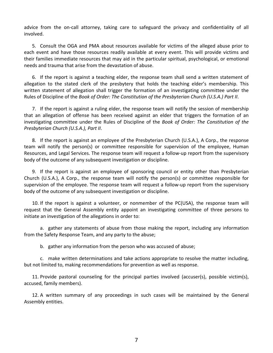advice from the on-call attorney, taking care to safeguard the privacy and confidentiality of all involved.

5. Consult the OGA and PMA about resources available for victims of the alleged abuse prior to each event and have those resources readily available at every event. This will provide victims and their families immediate resources that may aid in the particular spiritual, psychological, or emotional needs and trauma that arise from the devastation of abuse.

6. If the report is against a teaching elder, the response team shall send a written statement of allegation to the stated clerk of the presbytery that holds the teaching elder's membership. This written statement of allegation shall trigger the formation of an investigating committee under the Rules of Discipline of the *Book of Order: The Constitution of the Presbyterian Church (U.S.A.) Part II*.

7. If the report is against a ruling elder, the response team will notify the session of membership that an allegation of offense has been received against an elder that triggers the formation of an investigating committee under the Rules of Discipline of the *Book of Order: The Constitution of the Presbyterian Church (U.S.A.), Part II*.

8. If the report is against an employee of the Presbyterian Church (U.S.A.), A Corp., the response team will notify the person(s) or committee responsible for supervision of the employee, Human Resources, and Legal Services. The response team will request a follow‐up report from the supervisory body of the outcome of any subsequent investigation or discipline.

9. If the report is against an employee of sponsoring council or entity other than Presbyterian Church (U.S.A.), A Corp., the response team will notify the person(s) or committee responsible for supervision of the employee. The response team will request a follow‐up report from the supervisory body of the outcome of any subsequent investigation or discipline.

10. If the report is against a volunteer, or nonmember of the PC(USA), the response team will request that the General Assembly entity appoint an investigating committee of three persons to initiate an investigation of the allegations in order to:

a. gather any statements of abuse from those making the report, including any information from the Safety Response Team, and any party to the abuse;

b. gather any information from the person who was accused of abuse;

c. make written determinations and take actions appropriate to resolve the matter including, but not limited to, making recommendations for prevention as well as response.

11. Provide pastoral counseling for the principal parties involved (accuser(s), possible victim(s), accused, family members).

12. A written summary of any proceedings in such cases will be maintained by the General Assembly entities.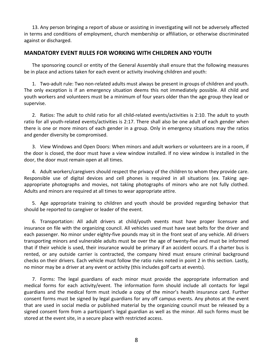<span id="page-11-0"></span>13. Any person bringing a report of abuse or assisting in investigating will not be adversely affected in terms and conditions of employment, church membership or affiliation, or otherwise discriminated against or discharged.

#### **MANDATORY EVENT RULES FOR WORKING WITH CHILDREN AND YOUTH**

The sponsoring council or entity of the General Assembly shall ensure that the following measures be in place and actions taken for each event or activity involving children and youth:

1. Two‐adult rule: Two non‐related adults must always be present in groups of children and youth. The only exception is if an emergency situation deems this not immediately possible. All child and youth workers and volunteers must be a minimum of four years older than the age group they lead or supervise.

2. Ratios: The adult to child ratio for all child-related events/activities is 2:10. The adult to youth ratio for all youth-related events/activities is 2:17. There shall also be one adult of each gender when there is one or more minors of each gender in a group. Only in emergency situations may the ratios and gender diversity be compromised.

3. View Windows and Open Doors: When minors and adult workers or volunteers are in a room, if the door is closed, the door must have a view window installed. If no view window is installed in the door, the door must remain open at all times.

4. Adult workers/caregivers should respect the privacy of the children to whom they provide care. Responsible use of digital devices and cell phones is required in all situations (ex. Taking age‐ appropriate photographs and movies, not taking photographs of minors who are not fully clothed. Adults and minors are required at all times to wear appropriate attire.

5. Age appropriate training to children and youth should be provided regarding behavior that should be reported to caregiver or leader of the event.

6. Transportation: All adult drivers at child/youth events must have proper licensure and insurance on file with the organizing council. All vehicles used must have seat belts for the driver and each passenger. No minor under eighty-five pounds may sit in the front seat of any vehicle. All drivers transporting minors and vulnerable adults must be over the age of twenty‐five and must be informed that if their vehicle is used, their insurance would be primary if an accident occurs. If a charter bus is rented, or any outside carrier is contracted, the company hired must ensure criminal background checks on their drivers. Each vehicle must follow the ratio rules noted in point 2 in this section. Lastly, no minor may be a driver at any event or activity (this includes golf carts at events).

7. Forms: The legal guardians of each minor must provide the appropriate information and medical forms for each activity/event. The information form should include all contacts for legal guardians and the medical form must include a copy of the minor's health insurance card. Further consent forms must be signed by legal guardians for any off campus events. Any photos at the event that are used in social media or published material by the organizing council must be released by a signed consent form from a participant's legal guardian as well as the minor. All such forms must be stored at the event site, in a secure place with restricted access.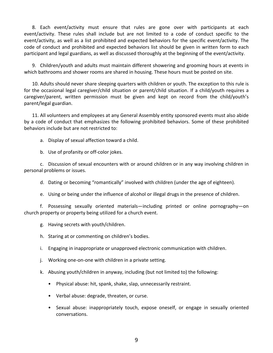8. Each event/activity must ensure that rules are gone over with participants at each event/activity. These rules shall include but are not limited to a code of conduct specific to the event/activity, as well as a list prohibited and expected behaviors for the specific event/activity. The code of conduct and prohibited and expected behaviors list should be given in written form to each participant and legal guardians, as well as discussed thoroughly at the beginning of the event/activity.

9. Children/youth and adults must maintain different showering and grooming hours at events in which bathrooms and shower rooms are shared in housing. These hours must be posted on site.

10. Adults should never share sleeping quarters with children or youth. The exception to this rule is for the occasional legal caregiver/child situation or parent/child situation. If a child/youth requires a caregiver/parent, written permission must be given and kept on record from the child/youth's parent/legal guardian.

11. All volunteers and employees at any General Assembly entity sponsored events must also abide by a code of conduct that emphasizes the following prohibited behaviors. Some of these prohibited behaviors include but are not restricted to:

a. Display of sexual affection toward a child.

b. Use of profanity or off‐color jokes.

c. Discussion of sexual encounters with or around children or in any way involving children in personal problems or issues.

d. Dating or becoming "romantically" involved with children (under the age of eighteen).

e. Using or being under the influence of alcohol or illegal drugs in the presence of children.

f. Possessing sexually oriented materials—including printed or online pornography—on church property or property being utilized for a church event.

g. Having secrets with youth/children.

h. Staring at or commenting on children's bodies.

i. Engaging in inappropriate or unapproved electronic communication with children.

j. Working one‐on‐one with children in a private setting.

k. Abusing youth/children in anyway, including (but not limited to) the following:

- Physical abuse: hit, spank, shake, slap, unnecessarily restraint.
- Verbal abuse: degrade, threaten, or curse.
- Sexual abuse: inappropriately touch, expose oneself, or engage in sexually oriented conversations.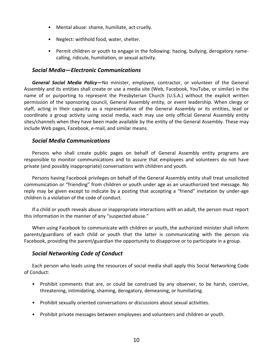- <span id="page-13-0"></span>• Mental abuse: shame, humiliate, act cruelly.
- Neglect: withhold food, water, shelter.
- Permit children or youth to engage in the following: hazing, bullying, derogatory namecalling, ridicule, humiliation, or sexual activity.

#### *Social Media—Electronic Communications*

*General Social Media Policy—*No minister, employee, contractor, or volunteer of the General Assembly and its entities shall create or use a media site (Web, Facebook, YouTube, or similar) in the name of or purporting to represent the Presbyterian Church (U.S.A.) without the explicit written permission of the sponsoring council, General Assembly entity, or event leadership. When clergy or staff, acting in their capacity as a representative of the General Assembly or its entities, lead or coordinate a group activity using social media, each may use only official General Assembly entity sites/channels when they have been made available by the entity of the General Assembly. These may include Web pages, Facebook, e‐mail, and similar means.

#### *Social Media Communications*

Persons who shall create public pages on behalf of General Assembly entity programs are responsible to monitor communications and to assure that employees and volunteers do not have private (and possibly inappropriate) conversations with children and youth.

Persons having Facebook privileges on behalf of the General Assembly entity shall treat unsolicited communication or "friending" from children or youth under age as an unauthorized text message. No reply may be given except to indicate by a posting that accepting a "friend" invitation by under-age children is a violation of the code of conduct.

If a child or youth reveals abuse or inappropriate interactions with an adult, the person must report this information in the manner of any "suspected abuse."

When using Facebook to communicate with children or youth, the authorized minister shall inform parents/guardians of each child or youth that the latter is communicating with the person via Facebook, providing the parent/guardian the opportunity to disapprove or to participate in a group.

#### *Social Networking Code of Conduct*

Each person who leads using the resources of social media shall apply this Social Networking Code of Conduct:

- Prohibit comments that are, or could be construed by any observer, to be harsh, coercive, threatening, intimidating, shaming, derogatory, demeaning, or humiliating.
- Prohibit sexually oriented conversations or discussions about sexual activities.
- Prohibit private messages between employees and volunteers and children or youth.